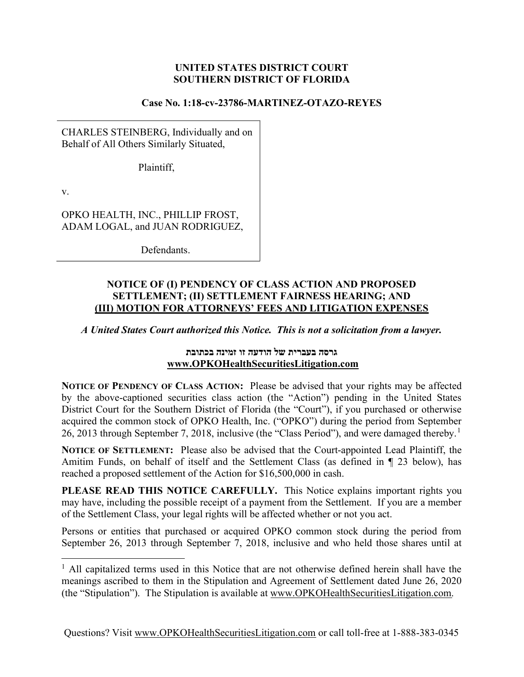## UNITED STATES DISTRICT COURT SOUTHERN DISTRICT OF FLORIDA

#### Case No. 1:18-cv-23786-MARTINEZ-OTAZO-REYES

CHARLES STEINBERG, Individually and on Behalf of All Others Similarly Situated,

Plaintiff,

v.

OPKO HEALTH, INC., PHILLIP FROST, ADAM LOGAL, and JUAN RODRIGUEZ,

Defendants.

### NOTICE OF (I) PENDENCY OF CLASS ACTION AND PROPOSED SETTLEMENT; (II) SETTLEMENT FAIRNESS HEARING; AND (III) MOTION FOR ATTORNEYS' FEES AND LITIGATION EXPENSES

A United States Court authorized this Notice. This is not a solicitation from a lawyer.

## גרסה בעברית של הודעה זו זמינה בכתובת www.OPKOHealthSecuritiesLitigation.com

NOTICE OF PENDENCY OF CLASS ACTION: Please be advised that your rights may be affected by the above-captioned securities class action (the "Action") pending in the United States District Court for the Southern District of Florida (the "Court"), if you purchased or otherwise acquired the common stock of OPKO Health, Inc. ("OPKO") during the period from September 26, 2013 through September 7, 2018, inclusive (the "Class Period"), and were damaged thereby.<sup>1</sup>

NOTICE OF SETTLEMENT: Please also be advised that the Court-appointed Lead Plaintiff, the Amitim Funds, on behalf of itself and the Settlement Class (as defined in ¶ 23 below), has reached a proposed settlement of the Action for \$16,500,000 in cash.

PLEASE READ THIS NOTICE CAREFULLY. This Notice explains important rights you may have, including the possible receipt of a payment from the Settlement. If you are a member of the Settlement Class, your legal rights will be affected whether or not you act.

Persons or entities that purchased or acquired OPKO common stock during the period from September 26, 2013 through September 7, 2018, inclusive and who held those shares until at

<sup>&</sup>lt;sup>1</sup> All capitalized terms used in this Notice that are not otherwise defined herein shall have the meanings ascribed to them in the Stipulation and Agreement of Settlement dated June 26, 2020 (the "Stipulation"). The Stipulation is available at www.OPKOHealthSecuritiesLitigation.com.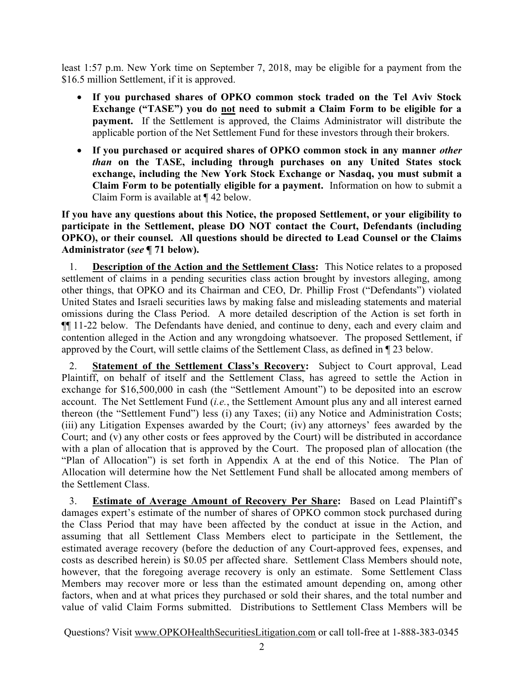least 1:57 p.m. New York time on September 7, 2018, may be eligible for a payment from the \$16.5 million Settlement, if it is approved.

- If you purchased shares of OPKO common stock traded on the Tel Aviv Stock Exchange ("TASE") you do not need to submit a Claim Form to be eligible for a payment. If the Settlement is approved, the Claims Administrator will distribute the applicable portion of the Net Settlement Fund for these investors through their brokers.
- If you purchased or acquired shares of OPKO common stock in any manner other than on the TASE, including through purchases on any United States stock exchange, including the New York Stock Exchange or Nasdaq, you must submit a Claim Form to be potentially eligible for a payment. Information on how to submit a Claim Form is available at ¶ 42 below.

If you have any questions about this Notice, the proposed Settlement, or your eligibility to participate in the Settlement, please DO NOT contact the Court, Defendants (including OPKO), or their counsel. All questions should be directed to Lead Counsel or the Claims Administrator (see ¶ 71 below).

**Description of the Action and the Settlement Class:** This Notice relates to a proposed settlement of claims in a pending securities class action brought by investors alleging, among other things, that OPKO and its Chairman and CEO, Dr. Phillip Frost ("Defendants") violated United States and Israeli securities laws by making false and misleading statements and material omissions during the Class Period. A more detailed description of the Action is set forth in ¶¶ 11-22 below. The Defendants have denied, and continue to deny, each and every claim and contention alleged in the Action and any wrongdoing whatsoever. The proposed Settlement, if approved by the Court, will settle claims of the Settlement Class, as defined in ¶ 23 below.

2. Statement of the Settlement Class's Recovery: Subject to Court approval, Lead Plaintiff, on behalf of itself and the Settlement Class, has agreed to settle the Action in exchange for \$16,500,000 in cash (the "Settlement Amount") to be deposited into an escrow account. The Net Settlement Fund  $(i.e.,$  the Settlement Amount plus any and all interest earned thereon (the "Settlement Fund") less (i) any Taxes; (ii) any Notice and Administration Costs; (iii) any Litigation Expenses awarded by the Court; (iv) any attorneys' fees awarded by the Court; and (v) any other costs or fees approved by the Court) will be distributed in accordance with a plan of allocation that is approved by the Court. The proposed plan of allocation (the "Plan of Allocation") is set forth in Appendix A at the end of this Notice. The Plan of Allocation will determine how the Net Settlement Fund shall be allocated among members of the Settlement Class.

3. Estimate of Average Amount of Recovery Per Share: Based on Lead Plaintiff's damages expert's estimate of the number of shares of OPKO common stock purchased during the Class Period that may have been affected by the conduct at issue in the Action, and assuming that all Settlement Class Members elect to participate in the Settlement, the estimated average recovery (before the deduction of any Court-approved fees, expenses, and costs as described herein) is \$0.05 per affected share. Settlement Class Members should note, however, that the foregoing average recovery is only an estimate. Some Settlement Class Members may recover more or less than the estimated amount depending on, among other factors, when and at what prices they purchased or sold their shares, and the total number and value of valid Claim Forms submitted. Distributions to Settlement Class Members will be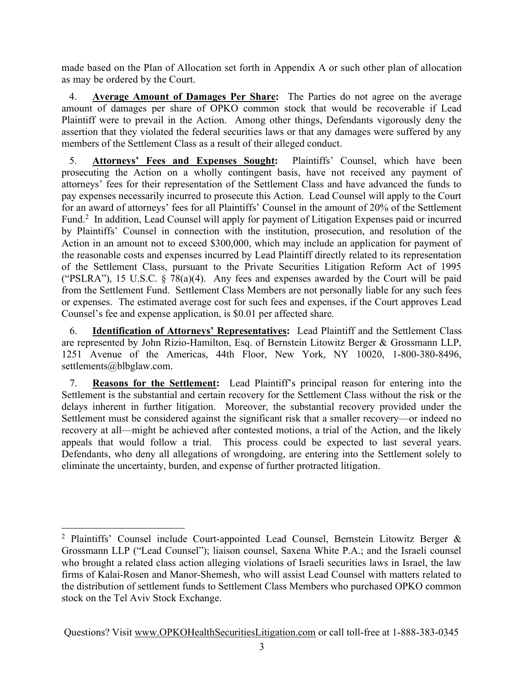made based on the Plan of Allocation set forth in Appendix A or such other plan of allocation as may be ordered by the Court.

4. Average Amount of Damages Per Share: The Parties do not agree on the average amount of damages per share of OPKO common stock that would be recoverable if Lead Plaintiff were to prevail in the Action. Among other things, Defendants vigorously deny the assertion that they violated the federal securities laws or that any damages were suffered by any members of the Settlement Class as a result of their alleged conduct.

5. Attorneys' Fees and Expenses Sought: Plaintiffs' Counsel, which have been prosecuting the Action on a wholly contingent basis, have not received any payment of attorneys' fees for their representation of the Settlement Class and have advanced the funds to pay expenses necessarily incurred to prosecute this Action. Lead Counsel will apply to the Court for an award of attorneys' fees for all Plaintiffs' Counsel in the amount of 20% of the Settlement Fund.<sup>2</sup> In addition, Lead Counsel will apply for payment of Litigation Expenses paid or incurred by Plaintiffs' Counsel in connection with the institution, prosecution, and resolution of the Action in an amount not to exceed \$300,000, which may include an application for payment of the reasonable costs and expenses incurred by Lead Plaintiff directly related to its representation of the Settlement Class, pursuant to the Private Securities Litigation Reform Act of 1995 ("PSLRA"), 15 U.S.C.  $\S$  78(a)(4). Any fees and expenses awarded by the Court will be paid from the Settlement Fund. Settlement Class Members are not personally liable for any such fees or expenses. The estimated average cost for such fees and expenses, if the Court approves Lead Counsel's fee and expense application, is \$0.01 per affected share.

6. Identification of Attorneys' Representatives: Lead Plaintiff and the Settlement Class are represented by John Rizio-Hamilton, Esq. of Bernstein Litowitz Berger & Grossmann LLP, 1251 Avenue of the Americas, 44th Floor, New York, NY 10020, 1-800-380-8496, settlements@blbglaw.com.

7. Reasons for the Settlement: Lead Plaintiff's principal reason for entering into the Settlement is the substantial and certain recovery for the Settlement Class without the risk or the delays inherent in further litigation. Moreover, the substantial recovery provided under the Settlement must be considered against the significant risk that a smaller recovery—or indeed no recovery at all—might be achieved after contested motions, a trial of the Action, and the likely appeals that would follow a trial. This process could be expected to last several years. Defendants, who deny all allegations of wrongdoing, are entering into the Settlement solely to eliminate the uncertainty, burden, and expense of further protracted litigation.

<sup>&</sup>lt;sup>2</sup> Plaintiffs' Counsel include Court-appointed Lead Counsel, Bernstein Litowitz Berger & Grossmann LLP ("Lead Counsel"); liaison counsel, Saxena White P.A.; and the Israeli counsel who brought a related class action alleging violations of Israeli securities laws in Israel, the law firms of Kalai-Rosen and Manor-Shemesh, who will assist Lead Counsel with matters related to the distribution of settlement funds to Settlement Class Members who purchased OPKO common stock on the Tel Aviv Stock Exchange.

Questions? Visit www.OPKOHealthSecuritiesLitigation.com or call toll-free at 1-888-383-0345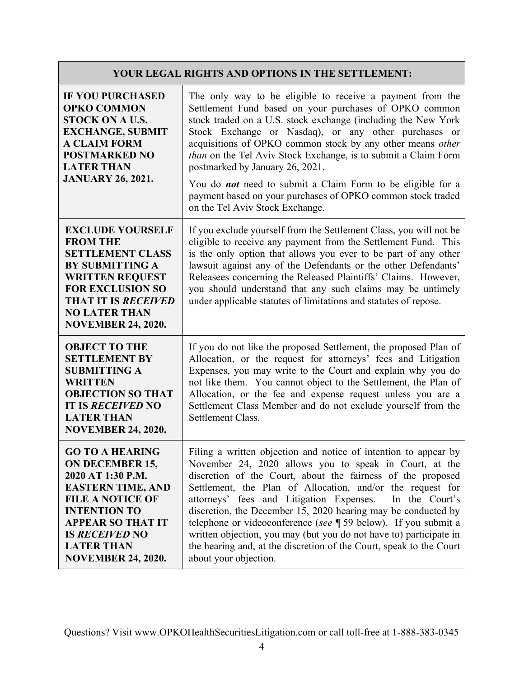# YOUR LEGAL RIGHTS AND OPTIONS IN THE SETTLEMENT:

| <b>IF YOU PURCHASED</b><br><b>OPKO COMMON</b><br><b>STOCK ON A U.S.</b><br><b>EXCHANGE, SUBMIT</b><br><b>A CLAIM FORM</b><br><b>POSTMARKED NO</b><br><b>LATER THAN</b><br><b>JANUARY 26, 2021.</b>                                                         | The only way to be eligible to receive a payment from the<br>Settlement Fund based on your purchases of OPKO common<br>stock traded on a U.S. stock exchange (including the New York<br>Stock Exchange or Nasdaq), or any other purchases or<br>acquisitions of OPKO common stock by any other means other<br>than on the Tel Aviv Stock Exchange, is to submit a Claim Form<br>postmarked by January 26, 2021.<br>You do <i>not</i> need to submit a Claim Form to be eligible for a<br>payment based on your purchases of OPKO common stock traded<br>on the Tel Aviv Stock Exchange.                                          |
|------------------------------------------------------------------------------------------------------------------------------------------------------------------------------------------------------------------------------------------------------------|----------------------------------------------------------------------------------------------------------------------------------------------------------------------------------------------------------------------------------------------------------------------------------------------------------------------------------------------------------------------------------------------------------------------------------------------------------------------------------------------------------------------------------------------------------------------------------------------------------------------------------|
| <b>EXCLUDE YOURSELF</b><br><b>FROM THE</b><br><b>SETTLEMENT CLASS</b><br><b>BY SUBMITTING A</b><br><b>WRITTEN REQUEST</b><br><b>FOR EXCLUSION SO</b><br><b>THAT IT IS RECEIVED</b><br><b>NO LATER THAN</b><br><b>NOVEMBER 24, 2020.</b>                    | If you exclude yourself from the Settlement Class, you will not be<br>eligible to receive any payment from the Settlement Fund. This<br>is the only option that allows you ever to be part of any other<br>lawsuit against any of the Defendants or the other Defendants'<br>Releasees concerning the Released Plaintiffs' Claims. However,<br>you should understand that any such claims may be untimely<br>under applicable statutes of limitations and statutes of repose.                                                                                                                                                    |
| <b>OBJECT TO THE</b><br><b>SETTLEMENT BY</b><br><b>SUBMITTING A</b><br><b>WRITTEN</b><br><b>OBJECTION SO THAT</b><br><b>IT IS RECEIVED NO</b><br><b>LATER THAN</b><br><b>NOVEMBER 24, 2020.</b>                                                            | If you do not like the proposed Settlement, the proposed Plan of<br>Allocation, or the request for attorneys' fees and Litigation<br>Expenses, you may write to the Court and explain why you do<br>not like them. You cannot object to the Settlement, the Plan of<br>Allocation, or the fee and expense request unless you are a<br>Settlement Class Member and do not exclude yourself from the<br>Settlement Class.                                                                                                                                                                                                          |
| <b>GO TO A HEARING</b><br><b>ON DECEMBER 15,</b><br>2020 AT 1:30 P.M.<br><b>EASTERN TIME, AND</b><br><b>FILE A NOTICE OF</b><br><b>INTENTION TO</b><br><b>APPEAR SO THAT IT</b><br><b>IS RECEIVED NO</b><br><b>LATER THAN</b><br><b>NOVEMBER 24, 2020.</b> | Filing a written objection and notice of intention to appear by<br>November 24, 2020 allows you to speak in Court, at the<br>discretion of the Court, about the fairness of the proposed<br>Settlement, the Plan of Allocation, and/or the request for<br>attorneys' fees and Litigation Expenses.<br>In the Court's<br>discretion, the December 15, 2020 hearing may be conducted by<br>telephone or videoconference (see $\P$ 59 below). If you submit a<br>written objection, you may (but you do not have to) participate in<br>the hearing and, at the discretion of the Court, speak to the Court<br>about your objection. |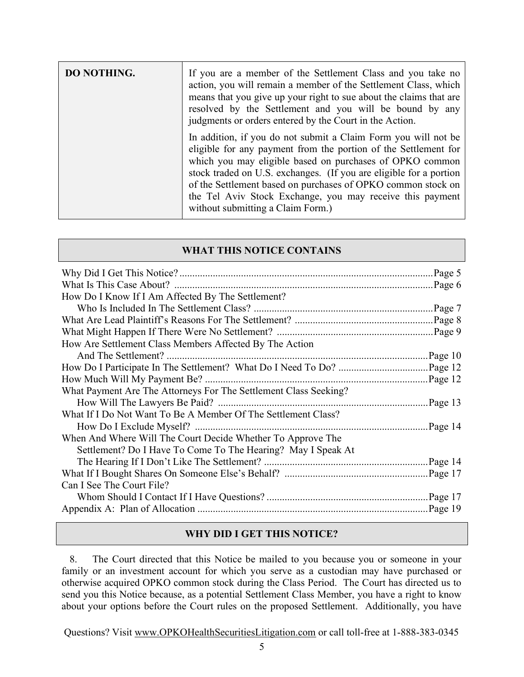| DO NOTHING. | If you are a member of the Settlement Class and you take no<br>action, you will remain a member of the Settlement Class, which<br>means that you give up your right to sue about the claims that are<br>resolved by the Settlement and you will be bound by any<br>judgments or orders entered by the Court in the Action.                                                                                                            |
|-------------|---------------------------------------------------------------------------------------------------------------------------------------------------------------------------------------------------------------------------------------------------------------------------------------------------------------------------------------------------------------------------------------------------------------------------------------|
|             | In addition, if you do not submit a Claim Form you will not be<br>eligible for any payment from the portion of the Settlement for<br>which you may eligible based on purchases of OPKO common<br>stock traded on U.S. exchanges. (If you are eligible for a portion<br>of the Settlement based on purchases of OPKO common stock on<br>the Tel Aviv Stock Exchange, you may receive this payment<br>without submitting a Claim Form.) |

## WHAT THIS NOTICE CONTAINS

| How Do I Know If I Am Affected By The Settlement?                |         |
|------------------------------------------------------------------|---------|
|                                                                  |         |
|                                                                  |         |
|                                                                  |         |
| How Are Settlement Class Members Affected By The Action          |         |
|                                                                  |         |
|                                                                  |         |
|                                                                  |         |
| What Payment Are The Attorneys For The Settlement Class Seeking? |         |
|                                                                  | Page13  |
| What If I Do Not Want To Be A Member Of The Settlement Class?    |         |
|                                                                  | Page 14 |
| When And Where Will The Court Decide Whether To Approve The      |         |
| Settlement? Do I Have To Come To The Hearing? May I Speak At     |         |
|                                                                  |         |
|                                                                  |         |
| Can I See The Court File?                                        |         |
|                                                                  |         |
|                                                                  |         |

#### WHY DID I GET THIS NOTICE?

8. The Court directed that this Notice be mailed to you because you or someone in your family or an investment account for which you serve as a custodian may have purchased or otherwise acquired OPKO common stock during the Class Period. The Court has directed us to send you this Notice because, as a potential Settlement Class Member, you have a right to know about your options before the Court rules on the proposed Settlement. Additionally, you have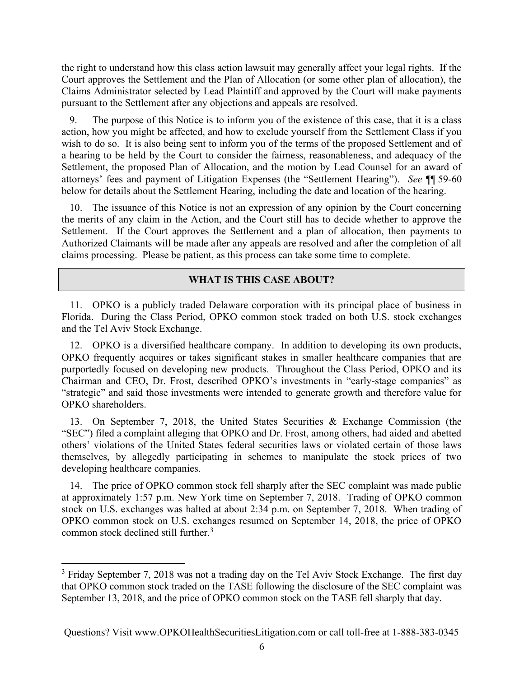the right to understand how this class action lawsuit may generally affect your legal rights. If the Court approves the Settlement and the Plan of Allocation (or some other plan of allocation), the Claims Administrator selected by Lead Plaintiff and approved by the Court will make payments pursuant to the Settlement after any objections and appeals are resolved.

9. The purpose of this Notice is to inform you of the existence of this case, that it is a class action, how you might be affected, and how to exclude yourself from the Settlement Class if you wish to do so. It is also being sent to inform you of the terms of the proposed Settlement and of a hearing to be held by the Court to consider the fairness, reasonableness, and adequacy of the Settlement, the proposed Plan of Allocation, and the motion by Lead Counsel for an award of attorneys' fees and payment of Litigation Expenses (the "Settlement Hearing"). See ¶¶ 59-60 below for details about the Settlement Hearing, including the date and location of the hearing.

10. The issuance of this Notice is not an expression of any opinion by the Court concerning the merits of any claim in the Action, and the Court still has to decide whether to approve the Settlement. If the Court approves the Settlement and a plan of allocation, then payments to Authorized Claimants will be made after any appeals are resolved and after the completion of all claims processing. Please be patient, as this process can take some time to complete.

## WHAT IS THIS CASE ABOUT?

11. OPKO is a publicly traded Delaware corporation with its principal place of business in Florida. During the Class Period, OPKO common stock traded on both U.S. stock exchanges and the Tel Aviv Stock Exchange.

12. OPKO is a diversified healthcare company. In addition to developing its own products, OPKO frequently acquires or takes significant stakes in smaller healthcare companies that are purportedly focused on developing new products. Throughout the Class Period, OPKO and its Chairman and CEO, Dr. Frost, described OPKO's investments in "early-stage companies" as "strategic" and said those investments were intended to generate growth and therefore value for OPKO shareholders.

13. On September 7, 2018, the United States Securities & Exchange Commission (the "SEC") filed a complaint alleging that OPKO and Dr. Frost, among others, had aided and abetted others' violations of the United States federal securities laws or violated certain of those laws themselves, by allegedly participating in schemes to manipulate the stock prices of two developing healthcare companies.

14. The price of OPKO common stock fell sharply after the SEC complaint was made public at approximately 1:57 p.m. New York time on September 7, 2018. Trading of OPKO common stock on U.S. exchanges was halted at about 2:34 p.m. on September 7, 2018. When trading of OPKO common stock on U.S. exchanges resumed on September 14, 2018, the price of OPKO common stock declined still further.<sup>3</sup>

 $3$  Friday September 7, 2018 was not a trading day on the Tel Aviv Stock Exchange. The first day that OPKO common stock traded on the TASE following the disclosure of the SEC complaint was September 13, 2018, and the price of OPKO common stock on the TASE fell sharply that day.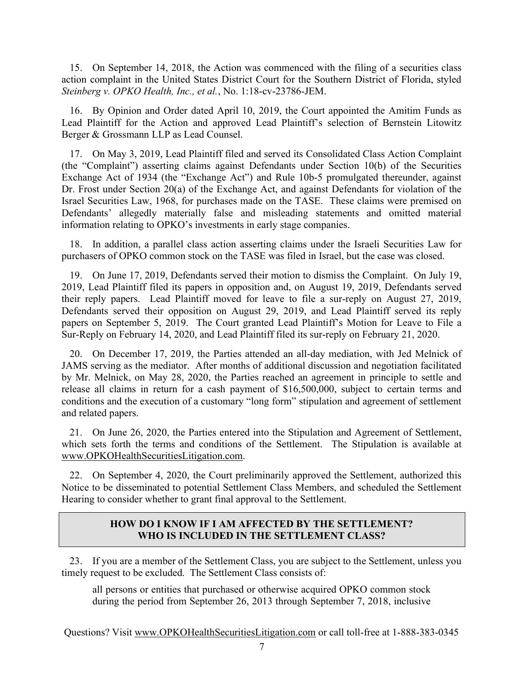15. On September 14, 2018, the Action was commenced with the filing of a securities class action complaint in the United States District Court for the Southern District of Florida, styled Steinberg v. OPKO Health, Inc., et al., No. 1:18-cv-23786-JEM.

16. By Opinion and Order dated April 10, 2019, the Court appointed the Amitim Funds as Lead Plaintiff for the Action and approved Lead Plaintiff's selection of Bernstein Litowitz Berger & Grossmann LLP as Lead Counsel.

17. On May 3, 2019, Lead Plaintiff filed and served its Consolidated Class Action Complaint (the "Complaint") asserting claims against Defendants under Section 10(b) of the Securities Exchange Act of 1934 (the "Exchange Act") and Rule 10b-5 promulgated thereunder, against Dr. Frost under Section 20(a) of the Exchange Act, and against Defendants for violation of the Israel Securities Law, 1968, for purchases made on the TASE. These claims were premised on Defendants' allegedly materially false and misleading statements and omitted material information relating to OPKO's investments in early stage companies.

18. In addition, a parallel class action asserting claims under the Israeli Securities Law for purchasers of OPKO common stock on the TASE was filed in Israel, but the case was closed.

19. On June 17, 2019, Defendants served their motion to dismiss the Complaint. On July 19, 2019, Lead Plaintiff filed its papers in opposition and, on August 19, 2019, Defendants served their reply papers. Lead Plaintiff moved for leave to file a sur-reply on August 27, 2019, Defendants served their opposition on August 29, 2019, and Lead Plaintiff served its reply papers on September 5, 2019. The Court granted Lead Plaintiff's Motion for Leave to File a Sur-Reply on February 14, 2020, and Lead Plaintiff filed its sur-reply on February 21, 2020.

20. On December 17, 2019, the Parties attended an all-day mediation, with Jed Melnick of JAMS serving as the mediator. After months of additional discussion and negotiation facilitated by Mr. Melnick, on May 28, 2020, the Parties reached an agreement in principle to settle and release all claims in return for a cash payment of \$16,500,000, subject to certain terms and conditions and the execution of a customary "long form" stipulation and agreement of settlement and related papers.

21. On June 26, 2020, the Parties entered into the Stipulation and Agreement of Settlement, which sets forth the terms and conditions of the Settlement. The Stipulation is available at www.OPKOHealthSecuritiesLitigation.com.

22. On September 4, 2020, the Court preliminarily approved the Settlement, authorized this Notice to be disseminated to potential Settlement Class Members, and scheduled the Settlement Hearing to consider whether to grant final approval to the Settlement.

#### HOW DO I KNOW IF I AM AFFECTED BY THE SETTLEMENT? WHO IS INCLUDED IN THE SETTLEMENT CLASS?

23. If you are a member of the Settlement Class, you are subject to the Settlement, unless you timely request to be excluded. The Settlement Class consists of:

all persons or entities that purchased or otherwise acquired OPKO common stock during the period from September 26, 2013 through September 7, 2018, inclusive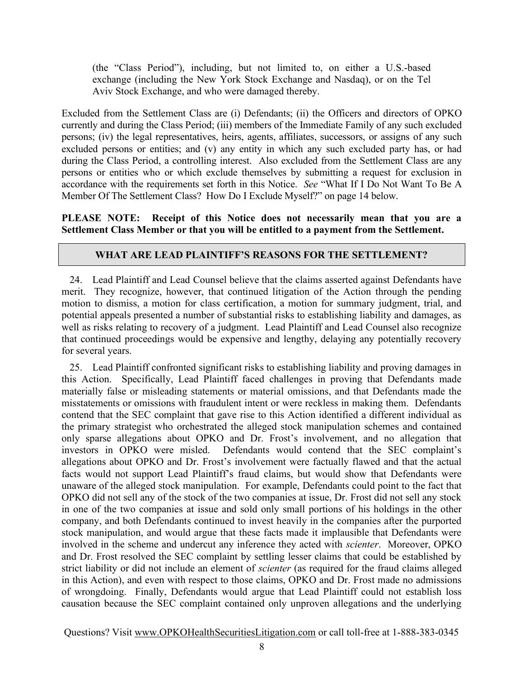(the "Class Period"), including, but not limited to, on either a U.S.-based exchange (including the New York Stock Exchange and Nasdaq), or on the Tel Aviv Stock Exchange, and who were damaged thereby.

Excluded from the Settlement Class are (i) Defendants; (ii) the Officers and directors of OPKO currently and during the Class Period; (iii) members of the Immediate Family of any such excluded persons; (iv) the legal representatives, heirs, agents, affiliates, successors, or assigns of any such excluded persons or entities; and (v) any entity in which any such excluded party has, or had during the Class Period, a controlling interest. Also excluded from the Settlement Class are any persons or entities who or which exclude themselves by submitting a request for exclusion in accordance with the requirements set forth in this Notice. See "What If I Do Not Want To Be A Member Of The Settlement Class? How Do I Exclude Myself?" on page 14 below.

PLEASE NOTE: Receipt of this Notice does not necessarily mean that you are a Settlement Class Member or that you will be entitled to a payment from the Settlement.

## WHAT ARE LEAD PLAINTIFF'S REASONS FOR THE SETTLEMENT?

24. Lead Plaintiff and Lead Counsel believe that the claims asserted against Defendants have merit. They recognize, however, that continued litigation of the Action through the pending motion to dismiss, a motion for class certification, a motion for summary judgment, trial, and potential appeals presented a number of substantial risks to establishing liability and damages, as well as risks relating to recovery of a judgment. Lead Plaintiff and Lead Counsel also recognize that continued proceedings would be expensive and lengthy, delaying any potentially recovery for several years.

25. Lead Plaintiff confronted significant risks to establishing liability and proving damages in this Action. Specifically, Lead Plaintiff faced challenges in proving that Defendants made materially false or misleading statements or material omissions, and that Defendants made the misstatements or omissions with fraudulent intent or were reckless in making them. Defendants contend that the SEC complaint that gave rise to this Action identified a different individual as the primary strategist who orchestrated the alleged stock manipulation schemes and contained only sparse allegations about OPKO and Dr. Frost's involvement, and no allegation that investors in OPKO were misled. Defendants would contend that the SEC complaint's allegations about OPKO and Dr. Frost's involvement were factually flawed and that the actual facts would not support Lead Plaintiff's fraud claims, but would show that Defendants were unaware of the alleged stock manipulation. For example, Defendants could point to the fact that OPKO did not sell any of the stock of the two companies at issue, Dr. Frost did not sell any stock in one of the two companies at issue and sold only small portions of his holdings in the other company, and both Defendants continued to invest heavily in the companies after the purported stock manipulation, and would argue that these facts made it implausible that Defendants were involved in the scheme and undercut any inference they acted with scienter. Moreover, OPKO and Dr. Frost resolved the SEC complaint by settling lesser claims that could be established by strict liability or did not include an element of scienter (as required for the fraud claims alleged in this Action), and even with respect to those claims, OPKO and Dr. Frost made no admissions of wrongdoing. Finally, Defendants would argue that Lead Plaintiff could not establish loss causation because the SEC complaint contained only unproven allegations and the underlying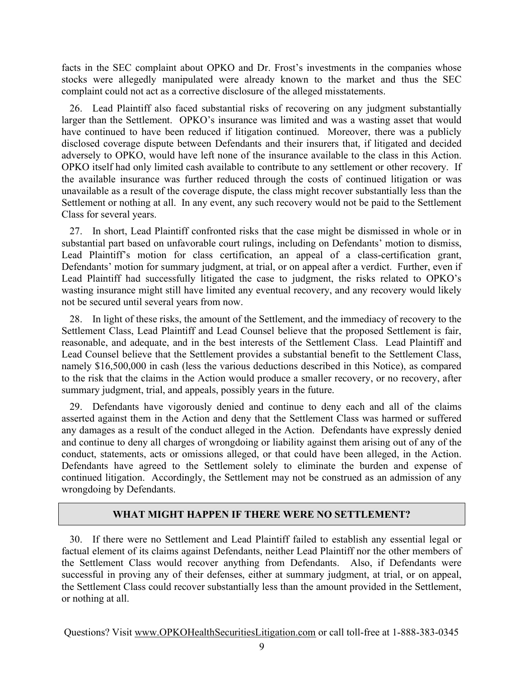facts in the SEC complaint about OPKO and Dr. Frost's investments in the companies whose stocks were allegedly manipulated were already known to the market and thus the SEC complaint could not act as a corrective disclosure of the alleged misstatements.

26. Lead Plaintiff also faced substantial risks of recovering on any judgment substantially larger than the Settlement. OPKO's insurance was limited and was a wasting asset that would have continued to have been reduced if litigation continued. Moreover, there was a publicly disclosed coverage dispute between Defendants and their insurers that, if litigated and decided adversely to OPKO, would have left none of the insurance available to the class in this Action. OPKO itself had only limited cash available to contribute to any settlement or other recovery. If the available insurance was further reduced through the costs of continued litigation or was unavailable as a result of the coverage dispute, the class might recover substantially less than the Settlement or nothing at all. In any event, any such recovery would not be paid to the Settlement Class for several years.

27. In short, Lead Plaintiff confronted risks that the case might be dismissed in whole or in substantial part based on unfavorable court rulings, including on Defendants' motion to dismiss, Lead Plaintiff's motion for class certification, an appeal of a class-certification grant, Defendants' motion for summary judgment, at trial, or on appeal after a verdict. Further, even if Lead Plaintiff had successfully litigated the case to judgment, the risks related to OPKO's wasting insurance might still have limited any eventual recovery, and any recovery would likely not be secured until several years from now.

28. In light of these risks, the amount of the Settlement, and the immediacy of recovery to the Settlement Class, Lead Plaintiff and Lead Counsel believe that the proposed Settlement is fair, reasonable, and adequate, and in the best interests of the Settlement Class. Lead Plaintiff and Lead Counsel believe that the Settlement provides a substantial benefit to the Settlement Class, namely \$16,500,000 in cash (less the various deductions described in this Notice), as compared to the risk that the claims in the Action would produce a smaller recovery, or no recovery, after summary judgment, trial, and appeals, possibly years in the future.

29. Defendants have vigorously denied and continue to deny each and all of the claims asserted against them in the Action and deny that the Settlement Class was harmed or suffered any damages as a result of the conduct alleged in the Action. Defendants have expressly denied and continue to deny all charges of wrongdoing or liability against them arising out of any of the conduct, statements, acts or omissions alleged, or that could have been alleged, in the Action. Defendants have agreed to the Settlement solely to eliminate the burden and expense of continued litigation. Accordingly, the Settlement may not be construed as an admission of any wrongdoing by Defendants.

#### WHAT MIGHT HAPPEN IF THERE WERE NO SETTLEMENT?

30. If there were no Settlement and Lead Plaintiff failed to establish any essential legal or factual element of its claims against Defendants, neither Lead Plaintiff nor the other members of the Settlement Class would recover anything from Defendants. Also, if Defendants were successful in proving any of their defenses, either at summary judgment, at trial, or on appeal, the Settlement Class could recover substantially less than the amount provided in the Settlement, or nothing at all.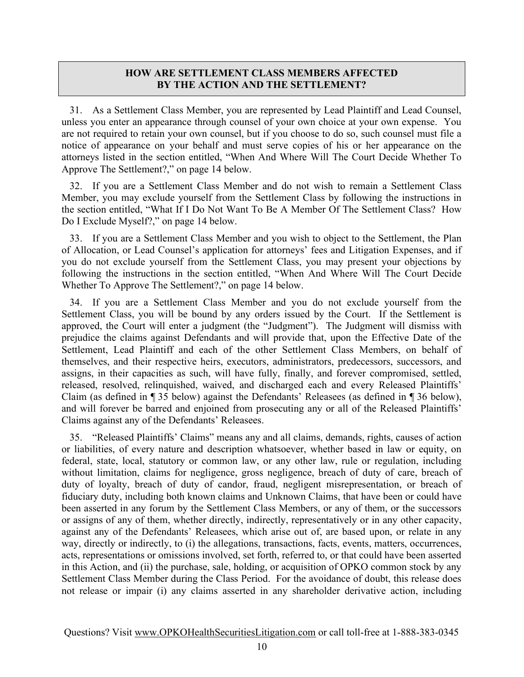## HOW ARE SETTLEMENT CLASS MEMBERS AFFECTED BY THE ACTION AND THE SETTLEMENT?

31. As a Settlement Class Member, you are represented by Lead Plaintiff and Lead Counsel, unless you enter an appearance through counsel of your own choice at your own expense. You are not required to retain your own counsel, but if you choose to do so, such counsel must file a notice of appearance on your behalf and must serve copies of his or her appearance on the attorneys listed in the section entitled, "When And Where Will The Court Decide Whether To Approve The Settlement?," on page 14 below.

32. If you are a Settlement Class Member and do not wish to remain a Settlement Class Member, you may exclude yourself from the Settlement Class by following the instructions in the section entitled, "What If I Do Not Want To Be A Member Of The Settlement Class? How Do I Exclude Myself?," on page 14 below.

33. If you are a Settlement Class Member and you wish to object to the Settlement, the Plan of Allocation, or Lead Counsel's application for attorneys' fees and Litigation Expenses, and if you do not exclude yourself from the Settlement Class, you may present your objections by following the instructions in the section entitled, "When And Where Will The Court Decide Whether To Approve The Settlement?," on page 14 below.

34. If you are a Settlement Class Member and you do not exclude yourself from the Settlement Class, you will be bound by any orders issued by the Court. If the Settlement is approved, the Court will enter a judgment (the "Judgment"). The Judgment will dismiss with prejudice the claims against Defendants and will provide that, upon the Effective Date of the Settlement, Lead Plaintiff and each of the other Settlement Class Members, on behalf of themselves, and their respective heirs, executors, administrators, predecessors, successors, and assigns, in their capacities as such, will have fully, finally, and forever compromised, settled, released, resolved, relinquished, waived, and discharged each and every Released Plaintiffs' Claim (as defined in ¶ 35 below) against the Defendants' Releasees (as defined in ¶ 36 below), and will forever be barred and enjoined from prosecuting any or all of the Released Plaintiffs' Claims against any of the Defendants' Releasees.

35. "Released Plaintiffs' Claims" means any and all claims, demands, rights, causes of action or liabilities, of every nature and description whatsoever, whether based in law or equity, on federal, state, local, statutory or common law, or any other law, rule or regulation, including without limitation, claims for negligence, gross negligence, breach of duty of care, breach of duty of loyalty, breach of duty of candor, fraud, negligent misrepresentation, or breach of fiduciary duty, including both known claims and Unknown Claims, that have been or could have been asserted in any forum by the Settlement Class Members, or any of them, or the successors or assigns of any of them, whether directly, indirectly, representatively or in any other capacity, against any of the Defendants' Releasees, which arise out of, are based upon, or relate in any way, directly or indirectly, to (i) the allegations, transactions, facts, events, matters, occurrences, acts, representations or omissions involved, set forth, referred to, or that could have been asserted in this Action, and (ii) the purchase, sale, holding, or acquisition of OPKO common stock by any Settlement Class Member during the Class Period. For the avoidance of doubt, this release does not release or impair (i) any claims asserted in any shareholder derivative action, including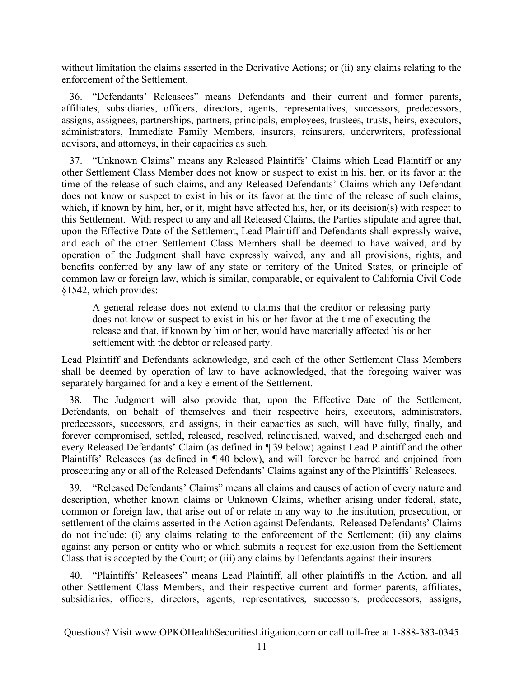without limitation the claims asserted in the Derivative Actions; or (ii) any claims relating to the enforcement of the Settlement.

36. "Defendants' Releasees" means Defendants and their current and former parents, affiliates, subsidiaries, officers, directors, agents, representatives, successors, predecessors, assigns, assignees, partnerships, partners, principals, employees, trustees, trusts, heirs, executors, administrators, Immediate Family Members, insurers, reinsurers, underwriters, professional advisors, and attorneys, in their capacities as such.

37. "Unknown Claims" means any Released Plaintiffs' Claims which Lead Plaintiff or any other Settlement Class Member does not know or suspect to exist in his, her, or its favor at the time of the release of such claims, and any Released Defendants' Claims which any Defendant does not know or suspect to exist in his or its favor at the time of the release of such claims, which, if known by him, her, or it, might have affected his, her, or its decision(s) with respect to this Settlement. With respect to any and all Released Claims, the Parties stipulate and agree that, upon the Effective Date of the Settlement, Lead Plaintiff and Defendants shall expressly waive, and each of the other Settlement Class Members shall be deemed to have waived, and by operation of the Judgment shall have expressly waived, any and all provisions, rights, and benefits conferred by any law of any state or territory of the United States, or principle of common law or foreign law, which is similar, comparable, or equivalent to California Civil Code §1542, which provides:

A general release does not extend to claims that the creditor or releasing party does not know or suspect to exist in his or her favor at the time of executing the release and that, if known by him or her, would have materially affected his or her settlement with the debtor or released party.

Lead Plaintiff and Defendants acknowledge, and each of the other Settlement Class Members shall be deemed by operation of law to have acknowledged, that the foregoing waiver was separately bargained for and a key element of the Settlement.

38. The Judgment will also provide that, upon the Effective Date of the Settlement, Defendants, on behalf of themselves and their respective heirs, executors, administrators, predecessors, successors, and assigns, in their capacities as such, will have fully, finally, and forever compromised, settled, released, resolved, relinquished, waived, and discharged each and every Released Defendants' Claim (as defined in ¶ 39 below) against Lead Plaintiff and the other Plaintiffs' Releasees (as defined in ¶ 40 below), and will forever be barred and enjoined from prosecuting any or all of the Released Defendants' Claims against any of the Plaintiffs' Releasees.

39. "Released Defendants' Claims" means all claims and causes of action of every nature and description, whether known claims or Unknown Claims, whether arising under federal, state, common or foreign law, that arise out of or relate in any way to the institution, prosecution, or settlement of the claims asserted in the Action against Defendants. Released Defendants' Claims do not include: (i) any claims relating to the enforcement of the Settlement; (ii) any claims against any person or entity who or which submits a request for exclusion from the Settlement Class that is accepted by the Court; or (iii) any claims by Defendants against their insurers.

40. "Plaintiffs' Releasees" means Lead Plaintiff, all other plaintiffs in the Action, and all other Settlement Class Members, and their respective current and former parents, affiliates, subsidiaries, officers, directors, agents, representatives, successors, predecessors, assigns,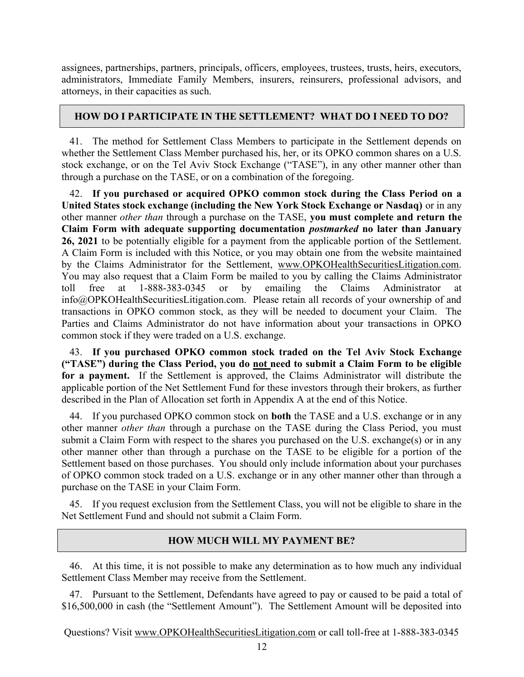assignees, partnerships, partners, principals, officers, employees, trustees, trusts, heirs, executors, administrators, Immediate Family Members, insurers, reinsurers, professional advisors, and attorneys, in their capacities as such.

## HOW DO I PARTICIPATE IN THE SETTLEMENT? WHAT DO I NEED TO DO?

41. The method for Settlement Class Members to participate in the Settlement depends on whether the Settlement Class Member purchased his, her, or its OPKO common shares on a U.S. stock exchange, or on the Tel Aviv Stock Exchange ("TASE"), in any other manner other than through a purchase on the TASE, or on a combination of the foregoing.

42. If you purchased or acquired OPKO common stock during the Class Period on a United States stock exchange (including the New York Stock Exchange or Nasdaq) or in any other manner other than through a purchase on the TASE, you must complete and return the Claim Form with adequate supporting documentation postmarked no later than January 26, 2021 to be potentially eligible for a payment from the applicable portion of the Settlement. A Claim Form is included with this Notice, or you may obtain one from the website maintained by the Claims Administrator for the Settlement, www.OPKOHealthSecuritiesLitigation.com. You may also request that a Claim Form be mailed to you by calling the Claims Administrator toll free at 1-888-383-0345 or by emailing the Claims Administrator at info@OPKOHealthSecuritiesLitigation.com. Please retain all records of your ownership of and transactions in OPKO common stock, as they will be needed to document your Claim. The Parties and Claims Administrator do not have information about your transactions in OPKO common stock if they were traded on a U.S. exchange.

43. If you purchased OPKO common stock traded on the Tel Aviv Stock Exchange ("TASE") during the Class Period, you do not need to submit a Claim Form to be eligible for a payment. If the Settlement is approved, the Claims Administrator will distribute the applicable portion of the Net Settlement Fund for these investors through their brokers, as further described in the Plan of Allocation set forth in Appendix A at the end of this Notice.

44. If you purchased OPKO common stock on both the TASE and a U.S. exchange or in any other manner other than through a purchase on the TASE during the Class Period, you must submit a Claim Form with respect to the shares you purchased on the U.S. exchange(s) or in any other manner other than through a purchase on the TASE to be eligible for a portion of the Settlement based on those purchases. You should only include information about your purchases of OPKO common stock traded on a U.S. exchange or in any other manner other than through a purchase on the TASE in your Claim Form.

45. If you request exclusion from the Settlement Class, you will not be eligible to share in the Net Settlement Fund and should not submit a Claim Form.

## HOW MUCH WILL MY PAYMENT BE?

46. At this time, it is not possible to make any determination as to how much any individual Settlement Class Member may receive from the Settlement.

47. Pursuant to the Settlement, Defendants have agreed to pay or caused to be paid a total of \$16,500,000 in cash (the "Settlement Amount"). The Settlement Amount will be deposited into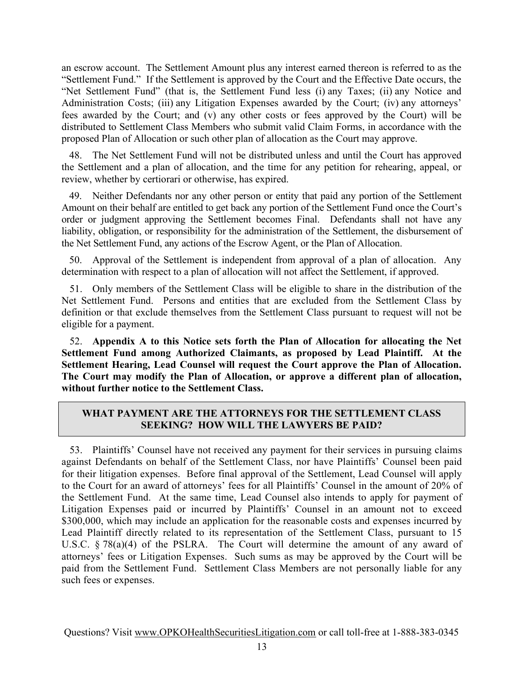an escrow account. The Settlement Amount plus any interest earned thereon is referred to as the "Settlement Fund." If the Settlement is approved by the Court and the Effective Date occurs, the "Net Settlement Fund" (that is, the Settlement Fund less (i) any Taxes; (ii) any Notice and Administration Costs; (iii) any Litigation Expenses awarded by the Court; (iv) any attorneys' fees awarded by the Court; and (v) any other costs or fees approved by the Court) will be distributed to Settlement Class Members who submit valid Claim Forms, in accordance with the proposed Plan of Allocation or such other plan of allocation as the Court may approve.

48. The Net Settlement Fund will not be distributed unless and until the Court has approved the Settlement and a plan of allocation, and the time for any petition for rehearing, appeal, or review, whether by certiorari or otherwise, has expired.

49. Neither Defendants nor any other person or entity that paid any portion of the Settlement Amount on their behalf are entitled to get back any portion of the Settlement Fund once the Court's order or judgment approving the Settlement becomes Final. Defendants shall not have any liability, obligation, or responsibility for the administration of the Settlement, the disbursement of the Net Settlement Fund, any actions of the Escrow Agent, or the Plan of Allocation.

50. Approval of the Settlement is independent from approval of a plan of allocation. Any determination with respect to a plan of allocation will not affect the Settlement, if approved.

51. Only members of the Settlement Class will be eligible to share in the distribution of the Net Settlement Fund. Persons and entities that are excluded from the Settlement Class by definition or that exclude themselves from the Settlement Class pursuant to request will not be eligible for a payment.

52. Appendix A to this Notice sets forth the Plan of Allocation for allocating the Net Settlement Fund among Authorized Claimants, as proposed by Lead Plaintiff. At the Settlement Hearing, Lead Counsel will request the Court approve the Plan of Allocation. The Court may modify the Plan of Allocation, or approve a different plan of allocation, without further notice to the Settlement Class.

## WHAT PAYMENT ARE THE ATTORNEYS FOR THE SETTLEMENT CLASS SEEKING? HOW WILL THE LAWYERS BE PAID?

53. Plaintiffs' Counsel have not received any payment for their services in pursuing claims against Defendants on behalf of the Settlement Class, nor have Plaintiffs' Counsel been paid for their litigation expenses. Before final approval of the Settlement, Lead Counsel will apply to the Court for an award of attorneys' fees for all Plaintiffs' Counsel in the amount of 20% of the Settlement Fund. At the same time, Lead Counsel also intends to apply for payment of Litigation Expenses paid or incurred by Plaintiffs' Counsel in an amount not to exceed \$300,000, which may include an application for the reasonable costs and expenses incurred by Lead Plaintiff directly related to its representation of the Settlement Class, pursuant to 15 U.S.C. § 78(a)(4) of the PSLRA. The Court will determine the amount of any award of attorneys' fees or Litigation Expenses. Such sums as may be approved by the Court will be paid from the Settlement Fund. Settlement Class Members are not personally liable for any such fees or expenses.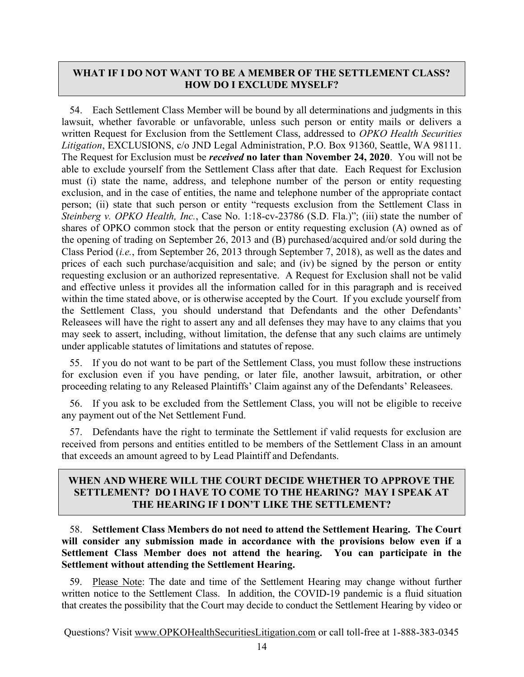## WHAT IF I DO NOT WANT TO BE A MEMBER OF THE SETTLEMENT CLASS? HOW DO I EXCLUDE MYSELF?

54. Each Settlement Class Member will be bound by all determinations and judgments in this lawsuit, whether favorable or unfavorable, unless such person or entity mails or delivers a written Request for Exclusion from the Settlement Class, addressed to OPKO Health Securities Litigation, EXCLUSIONS, c/o JND Legal Administration, P.O. Box 91360, Seattle, WA 98111. The Request for Exclusion must be *received* no later than November 24, 2020. You will not be able to exclude yourself from the Settlement Class after that date. Each Request for Exclusion must (i) state the name, address, and telephone number of the person or entity requesting exclusion, and in the case of entities, the name and telephone number of the appropriate contact person; (ii) state that such person or entity "requests exclusion from the Settlement Class in Steinberg v. OPKO Health, Inc., Case No. 1:18-cv-23786 (S.D. Fla.)"; (iii) state the number of shares of OPKO common stock that the person or entity requesting exclusion (A) owned as of the opening of trading on September 26, 2013 and (B) purchased/acquired and/or sold during the Class Period (i.e., from September 26, 2013 through September 7, 2018), as well as the dates and prices of each such purchase/acquisition and sale; and (iv) be signed by the person or entity requesting exclusion or an authorized representative. A Request for Exclusion shall not be valid and effective unless it provides all the information called for in this paragraph and is received within the time stated above, or is otherwise accepted by the Court. If you exclude yourself from the Settlement Class, you should understand that Defendants and the other Defendants' Releasees will have the right to assert any and all defenses they may have to any claims that you may seek to assert, including, without limitation, the defense that any such claims are untimely under applicable statutes of limitations and statutes of repose.

55. If you do not want to be part of the Settlement Class, you must follow these instructions for exclusion even if you have pending, or later file, another lawsuit, arbitration, or other proceeding relating to any Released Plaintiffs' Claim against any of the Defendants' Releasees.

56. If you ask to be excluded from the Settlement Class, you will not be eligible to receive any payment out of the Net Settlement Fund.

57. Defendants have the right to terminate the Settlement if valid requests for exclusion are received from persons and entities entitled to be members of the Settlement Class in an amount that exceeds an amount agreed to by Lead Plaintiff and Defendants.

## WHEN AND WHERE WILL THE COURT DECIDE WHETHER TO APPROVE THE SETTLEMENT? DO I HAVE TO COME TO THE HEARING? MAY I SPEAK AT THE HEARING IF I DON'T LIKE THE SETTLEMENT?

58. Settlement Class Members do not need to attend the Settlement Hearing. The Court will consider any submission made in accordance with the provisions below even if a Settlement Class Member does not attend the hearing. You can participate in the Settlement without attending the Settlement Hearing.

59. Please Note: The date and time of the Settlement Hearing may change without further written notice to the Settlement Class. In addition, the COVID-19 pandemic is a fluid situation that creates the possibility that the Court may decide to conduct the Settlement Hearing by video or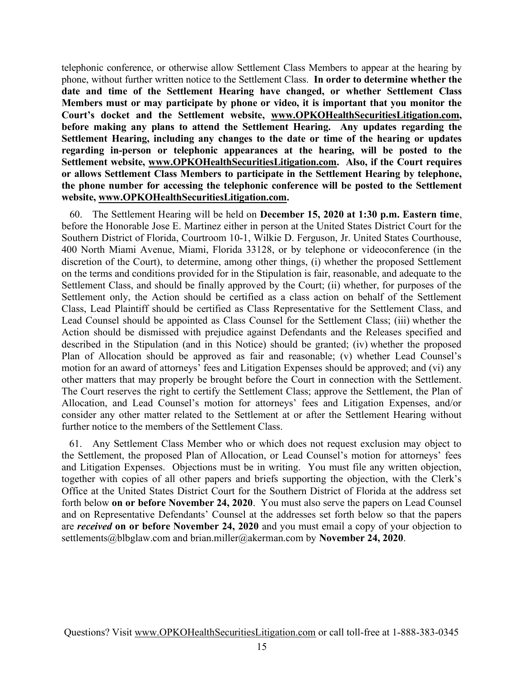telephonic conference, or otherwise allow Settlement Class Members to appear at the hearing by phone, without further written notice to the Settlement Class. In order to determine whether the date and time of the Settlement Hearing have changed, or whether Settlement Class Members must or may participate by phone or video, it is important that you monitor the Court's docket and the Settlement website, www.OPKOHealthSecuritiesLitigation.com, before making any plans to attend the Settlement Hearing. Any updates regarding the Settlement Hearing, including any changes to the date or time of the hearing or updates regarding in-person or telephonic appearances at the hearing, will be posted to the Settlement website, www.OPKOHealthSecuritiesLitigation.com. Also, if the Court requires or allows Settlement Class Members to participate in the Settlement Hearing by telephone, the phone number for accessing the telephonic conference will be posted to the Settlement website, www.OPKOHealthSecuritiesLitigation.com.

60. The Settlement Hearing will be held on December 15, 2020 at 1:30 p.m. Eastern time, before the Honorable Jose E. Martinez either in person at the United States District Court for the Southern District of Florida, Courtroom 10-1, Wilkie D. Ferguson, Jr. United States Courthouse, 400 North Miami Avenue, Miami, Florida 33128, or by telephone or videoconference (in the discretion of the Court), to determine, among other things, (i) whether the proposed Settlement on the terms and conditions provided for in the Stipulation is fair, reasonable, and adequate to the Settlement Class, and should be finally approved by the Court; (ii) whether, for purposes of the Settlement only, the Action should be certified as a class action on behalf of the Settlement Class, Lead Plaintiff should be certified as Class Representative for the Settlement Class, and Lead Counsel should be appointed as Class Counsel for the Settlement Class; (iii) whether the Action should be dismissed with prejudice against Defendants and the Releases specified and described in the Stipulation (and in this Notice) should be granted; (iv) whether the proposed Plan of Allocation should be approved as fair and reasonable; (v) whether Lead Counsel's motion for an award of attorneys' fees and Litigation Expenses should be approved; and (vi) any other matters that may properly be brought before the Court in connection with the Settlement. The Court reserves the right to certify the Settlement Class; approve the Settlement, the Plan of Allocation, and Lead Counsel's motion for attorneys' fees and Litigation Expenses, and/or consider any other matter related to the Settlement at or after the Settlement Hearing without further notice to the members of the Settlement Class.

61. Any Settlement Class Member who or which does not request exclusion may object to the Settlement, the proposed Plan of Allocation, or Lead Counsel's motion for attorneys' fees and Litigation Expenses. Objections must be in writing. You must file any written objection, together with copies of all other papers and briefs supporting the objection, with the Clerk's Office at the United States District Court for the Southern District of Florida at the address set forth below on or before November 24, 2020. You must also serve the papers on Lead Counsel and on Representative Defendants' Counsel at the addresses set forth below so that the papers are *received* on or before November 24, 2020 and you must email a copy of your objection to settlements@blbglaw.com and brian.miller@akerman.com by November 24, 2020.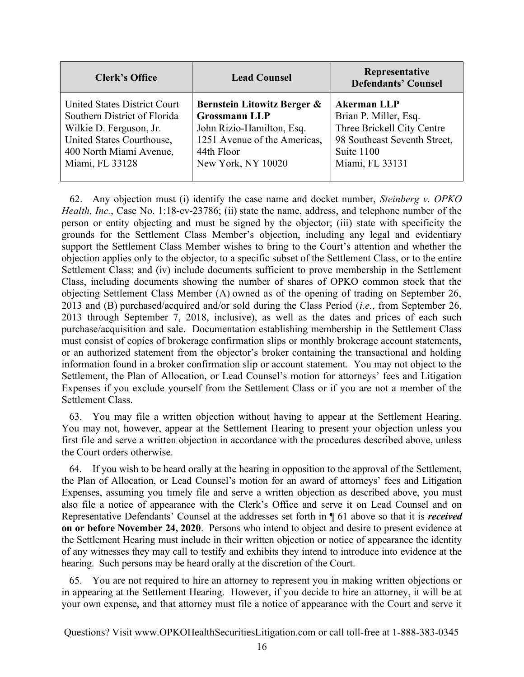| <b>Clerk's Office</b>        | <b>Lead Counsel</b>          | Representative<br><b>Defendants' Counsel</b> |  |
|------------------------------|------------------------------|----------------------------------------------|--|
| United States District Court | Bernstein Litowitz Berger &  | <b>Akerman LLP</b>                           |  |
| Southern District of Florida | <b>Grossmann LLP</b>         | Brian P. Miller, Esq.                        |  |
| Wilkie D. Ferguson, Jr.      | John Rizio-Hamilton, Esq.    | Three Brickell City Centre                   |  |
| United States Courthouse,    | 1251 Avenue of the Americas, | 98 Southeast Seventh Street,                 |  |
| 400 North Miami Avenue,      | 44th Floor                   | Suite 1100                                   |  |
| Miami, FL 33128              | New York, NY 10020           | Miami, FL 33131                              |  |

62. Any objection must (i) identify the case name and docket number, Steinberg v. OPKO Health, Inc., Case No. 1:18-cv-23786; (ii) state the name, address, and telephone number of the person or entity objecting and must be signed by the objector; (iii) state with specificity the grounds for the Settlement Class Member's objection, including any legal and evidentiary support the Settlement Class Member wishes to bring to the Court's attention and whether the objection applies only to the objector, to a specific subset of the Settlement Class, or to the entire Settlement Class; and (iv) include documents sufficient to prove membership in the Settlement Class, including documents showing the number of shares of OPKO common stock that the objecting Settlement Class Member (A) owned as of the opening of trading on September 26, 2013 and (B) purchased/acquired and/or sold during the Class Period (*i.e.*, from September 26, 2013 through September 7, 2018, inclusive), as well as the dates and prices of each such purchase/acquisition and sale. Documentation establishing membership in the Settlement Class must consist of copies of brokerage confirmation slips or monthly brokerage account statements, or an authorized statement from the objector's broker containing the transactional and holding information found in a broker confirmation slip or account statement. You may not object to the Settlement, the Plan of Allocation, or Lead Counsel's motion for attorneys' fees and Litigation Expenses if you exclude yourself from the Settlement Class or if you are not a member of the Settlement Class.

63. You may file a written objection without having to appear at the Settlement Hearing. You may not, however, appear at the Settlement Hearing to present your objection unless you first file and serve a written objection in accordance with the procedures described above, unless the Court orders otherwise.

64. If you wish to be heard orally at the hearing in opposition to the approval of the Settlement, the Plan of Allocation, or Lead Counsel's motion for an award of attorneys' fees and Litigation Expenses, assuming you timely file and serve a written objection as described above, you must also file a notice of appearance with the Clerk's Office and serve it on Lead Counsel and on Representative Defendants' Counsel at the addresses set forth in  $\P$  61 above so that it is *received* on or before November 24, 2020. Persons who intend to object and desire to present evidence at the Settlement Hearing must include in their written objection or notice of appearance the identity of any witnesses they may call to testify and exhibits they intend to introduce into evidence at the hearing. Such persons may be heard orally at the discretion of the Court.

65. You are not required to hire an attorney to represent you in making written objections or in appearing at the Settlement Hearing. However, if you decide to hire an attorney, it will be at your own expense, and that attorney must file a notice of appearance with the Court and serve it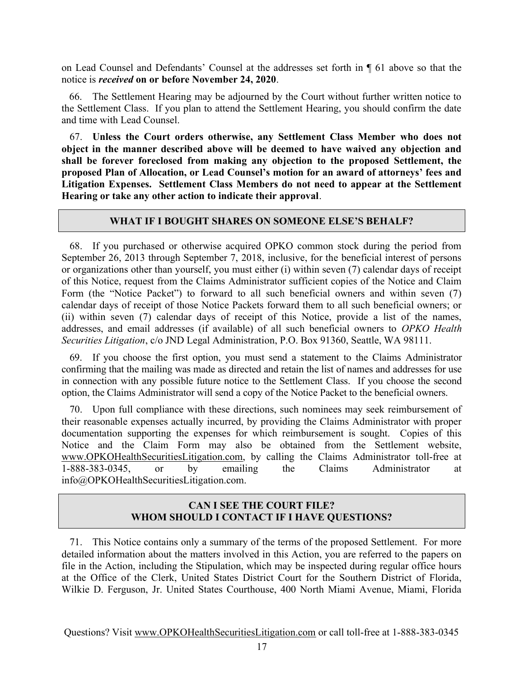on Lead Counsel and Defendants' Counsel at the addresses set forth in ¶ 61 above so that the notice is received on or before November 24, 2020.

66. The Settlement Hearing may be adjourned by the Court without further written notice to the Settlement Class. If you plan to attend the Settlement Hearing, you should confirm the date and time with Lead Counsel.

67. Unless the Court orders otherwise, any Settlement Class Member who does not object in the manner described above will be deemed to have waived any objection and shall be forever foreclosed from making any objection to the proposed Settlement, the proposed Plan of Allocation, or Lead Counsel's motion for an award of attorneys' fees and Litigation Expenses. Settlement Class Members do not need to appear at the Settlement Hearing or take any other action to indicate their approval.

#### WHAT IF I BOUGHT SHARES ON SOMEONE ELSE'S BEHALF?

68. If you purchased or otherwise acquired OPKO common stock during the period from September 26, 2013 through September 7, 2018, inclusive, for the beneficial interest of persons or organizations other than yourself, you must either (i) within seven (7) calendar days of receipt of this Notice, request from the Claims Administrator sufficient copies of the Notice and Claim Form (the "Notice Packet") to forward to all such beneficial owners and within seven (7) calendar days of receipt of those Notice Packets forward them to all such beneficial owners; or (ii) within seven (7) calendar days of receipt of this Notice, provide a list of the names, addresses, and email addresses (if available) of all such beneficial owners to OPKO Health Securities Litigation, c/o JND Legal Administration, P.O. Box 91360, Seattle, WA 98111.

69. If you choose the first option, you must send a statement to the Claims Administrator confirming that the mailing was made as directed and retain the list of names and addresses for use in connection with any possible future notice to the Settlement Class. If you choose the second option, the Claims Administrator will send a copy of the Notice Packet to the beneficial owners.

70. Upon full compliance with these directions, such nominees may seek reimbursement of their reasonable expenses actually incurred, by providing the Claims Administrator with proper documentation supporting the expenses for which reimbursement is sought. Copies of this Notice and the Claim Form may also be obtained from the Settlement website, www.OPKOHealthSecuritiesLitigation.com, by calling the Claims Administrator toll-free at 1-888-383-0345, or by emailing the Claims Administrator at info@OPKOHealthSecuritiesLitigation.com.

## CAN I SEE THE COURT FILE? WHOM SHOULD I CONTACT IF I HAVE QUESTIONS?

71. This Notice contains only a summary of the terms of the proposed Settlement. For more detailed information about the matters involved in this Action, you are referred to the papers on file in the Action, including the Stipulation, which may be inspected during regular office hours at the Office of the Clerk, United States District Court for the Southern District of Florida, Wilkie D. Ferguson, Jr. United States Courthouse, 400 North Miami Avenue, Miami, Florida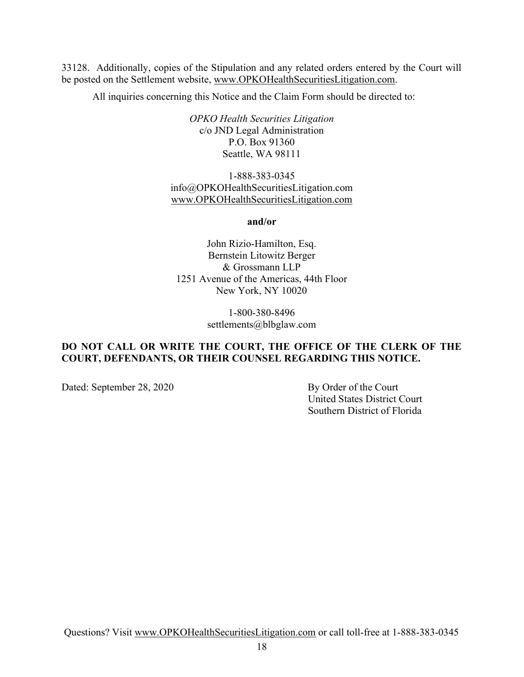33128. Additionally, copies of the Stipulation and any related orders entered by the Court will be posted on the Settlement website, www.OPKOHealthSecuritiesLitigation.com.

All inquiries concerning this Notice and the Claim Form should be directed to:

OPKO Health Securities Litigation c/o JND Legal Administration P.O. Box 91360 Seattle, WA 98111

1-888-383-0345 info@OPKOHealthSecuritiesLitigation.com www.OPKOHealthSecuritiesLitigation.com

and/or

John Rizio-Hamilton, Esq. Bernstein Litowitz Berger & Grossmann LLP 1251 Avenue of the Americas, 44th Floor New York, NY 10020

> 1-800-380-8496 settlements@blbglaw.com

## DO NOT CALL OR WRITE THE COURT, THE OFFICE OF THE CLERK OF THE COURT, DEFENDANTS, OR THEIR COUNSEL REGARDING THIS NOTICE.

Dated: September 28, 2020 By Order of the Court

 United States District Court Southern District of Florida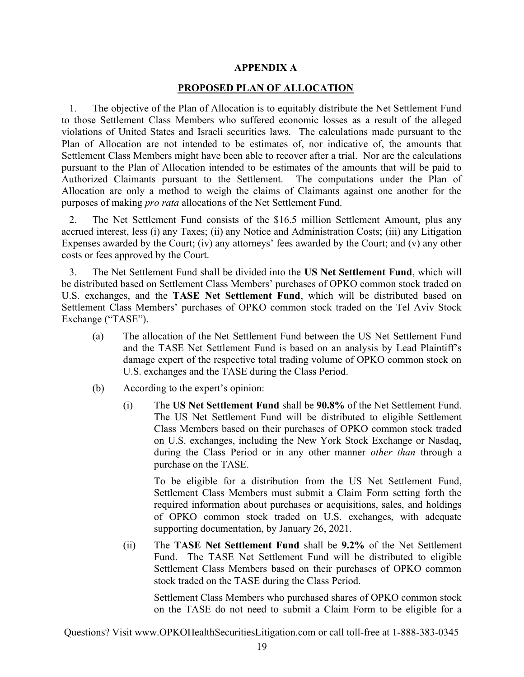#### APPENDIX A

#### PROPOSED PLAN OF ALLOCATION

1. The objective of the Plan of Allocation is to equitably distribute the Net Settlement Fund to those Settlement Class Members who suffered economic losses as a result of the alleged violations of United States and Israeli securities laws. The calculations made pursuant to the Plan of Allocation are not intended to be estimates of, nor indicative of, the amounts that Settlement Class Members might have been able to recover after a trial. Nor are the calculations pursuant to the Plan of Allocation intended to be estimates of the amounts that will be paid to Authorized Claimants pursuant to the Settlement. The computations under the Plan of Allocation are only a method to weigh the claims of Claimants against one another for the purposes of making pro rata allocations of the Net Settlement Fund.

2. The Net Settlement Fund consists of the \$16.5 million Settlement Amount, plus any accrued interest, less (i) any Taxes; (ii) any Notice and Administration Costs; (iii) any Litigation Expenses awarded by the Court; (iv) any attorneys' fees awarded by the Court; and (v) any other costs or fees approved by the Court.

3. The Net Settlement Fund shall be divided into the US Net Settlement Fund, which will be distributed based on Settlement Class Members' purchases of OPKO common stock traded on U.S. exchanges, and the TASE Net Settlement Fund, which will be distributed based on Settlement Class Members' purchases of OPKO common stock traded on the Tel Aviv Stock Exchange ("TASE").

- (a) The allocation of the Net Settlement Fund between the US Net Settlement Fund and the TASE Net Settlement Fund is based on an analysis by Lead Plaintiff's damage expert of the respective total trading volume of OPKO common stock on U.S. exchanges and the TASE during the Class Period.
- (b) According to the expert's opinion:
	- (i) The US Net Settlement Fund shall be 90.8% of the Net Settlement Fund. The US Net Settlement Fund will be distributed to eligible Settlement Class Members based on their purchases of OPKO common stock traded on U.S. exchanges, including the New York Stock Exchange or Nasdaq, during the Class Period or in any other manner other than through a purchase on the TASE.

To be eligible for a distribution from the US Net Settlement Fund, Settlement Class Members must submit a Claim Form setting forth the required information about purchases or acquisitions, sales, and holdings of OPKO common stock traded on U.S. exchanges, with adequate supporting documentation, by January 26, 2021.

(ii) The TASE Net Settlement Fund shall be 9.2% of the Net Settlement Fund. The TASE Net Settlement Fund will be distributed to eligible Settlement Class Members based on their purchases of OPKO common stock traded on the TASE during the Class Period.

Settlement Class Members who purchased shares of OPKO common stock on the TASE do not need to submit a Claim Form to be eligible for a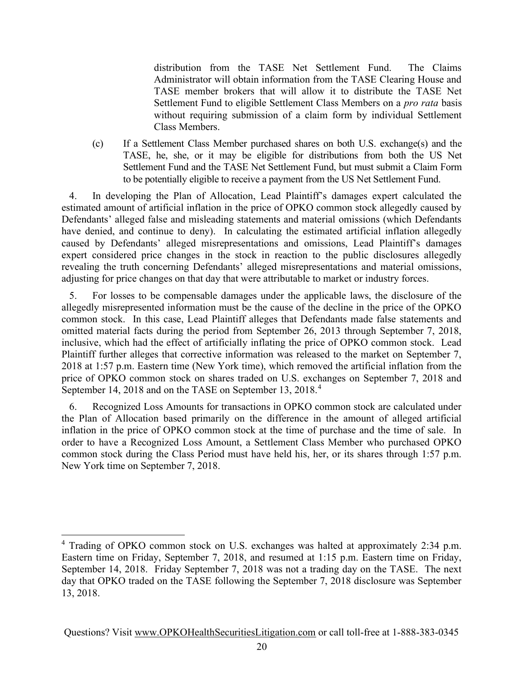distribution from the TASE Net Settlement Fund. The Claims Administrator will obtain information from the TASE Clearing House and TASE member brokers that will allow it to distribute the TASE Net Settlement Fund to eligible Settlement Class Members on a pro rata basis without requiring submission of a claim form by individual Settlement Class Members.

(c) If a Settlement Class Member purchased shares on both U.S. exchange(s) and the TASE, he, she, or it may be eligible for distributions from both the US Net Settlement Fund and the TASE Net Settlement Fund, but must submit a Claim Form to be potentially eligible to receive a payment from the US Net Settlement Fund.

4. In developing the Plan of Allocation, Lead Plaintiff's damages expert calculated the estimated amount of artificial inflation in the price of OPKO common stock allegedly caused by Defendants' alleged false and misleading statements and material omissions (which Defendants have denied, and continue to deny). In calculating the estimated artificial inflation allegedly caused by Defendants' alleged misrepresentations and omissions, Lead Plaintiff's damages expert considered price changes in the stock in reaction to the public disclosures allegedly revealing the truth concerning Defendants' alleged misrepresentations and material omissions, adjusting for price changes on that day that were attributable to market or industry forces.

5. For losses to be compensable damages under the applicable laws, the disclosure of the allegedly misrepresented information must be the cause of the decline in the price of the OPKO common stock. In this case, Lead Plaintiff alleges that Defendants made false statements and omitted material facts during the period from September 26, 2013 through September 7, 2018, inclusive, which had the effect of artificially inflating the price of OPKO common stock. Lead Plaintiff further alleges that corrective information was released to the market on September 7, 2018 at 1:57 p.m. Eastern time (New York time), which removed the artificial inflation from the price of OPKO common stock on shares traded on U.S. exchanges on September 7, 2018 and September 14, 2018 and on the TASE on September 13, 2018.<sup>4</sup>

6. Recognized Loss Amounts for transactions in OPKO common stock are calculated under the Plan of Allocation based primarily on the difference in the amount of alleged artificial inflation in the price of OPKO common stock at the time of purchase and the time of sale. In order to have a Recognized Loss Amount, a Settlement Class Member who purchased OPKO common stock during the Class Period must have held his, her, or its shares through 1:57 p.m. New York time on September 7, 2018.

<sup>&</sup>lt;sup>4</sup> Trading of OPKO common stock on U.S. exchanges was halted at approximately 2:34 p.m. Eastern time on Friday, September 7, 2018, and resumed at 1:15 p.m. Eastern time on Friday, September 14, 2018. Friday September 7, 2018 was not a trading day on the TASE. The next day that OPKO traded on the TASE following the September 7, 2018 disclosure was September 13, 2018.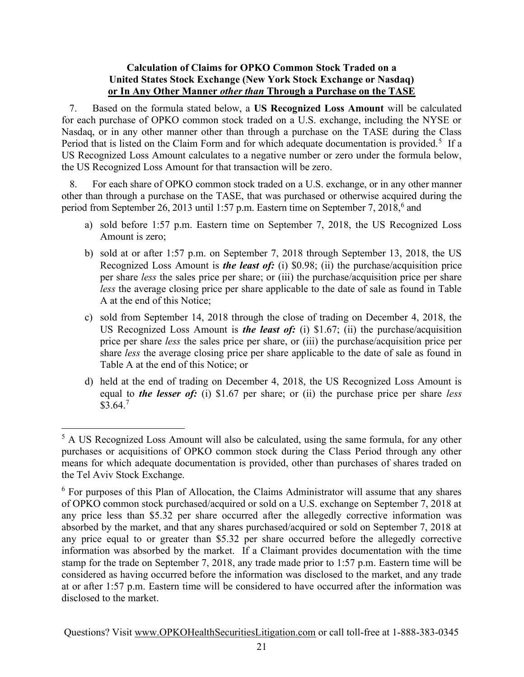## Calculation of Claims for OPKO Common Stock Traded on a United States Stock Exchange (New York Stock Exchange or Nasdaq) or In Any Other Manner other than Through a Purchase on the TASE

7. Based on the formula stated below, a US Recognized Loss Amount will be calculated for each purchase of OPKO common stock traded on a U.S. exchange, including the NYSE or Nasdaq, or in any other manner other than through a purchase on the TASE during the Class Period that is listed on the Claim Form and for which adequate documentation is provided.<sup>5</sup> If a US Recognized Loss Amount calculates to a negative number or zero under the formula below, the US Recognized Loss Amount for that transaction will be zero.

8. For each share of OPKO common stock traded on a U.S. exchange, or in any other manner other than through a purchase on the TASE, that was purchased or otherwise acquired during the period from September 26, 2013 until 1:57 p.m. Eastern time on September 7, 2018,<sup>6</sup> and

- a) sold before 1:57 p.m. Eastern time on September 7, 2018, the US Recognized Loss Amount is zero;
- b) sold at or after 1:57 p.m. on September 7, 2018 through September 13, 2018, the US Recognized Loss Amount is *the least of:* (i) \$0.98; (ii) the purchase/acquisition price per share less the sales price per share; or (iii) the purchase/acquisition price per share less the average closing price per share applicable to the date of sale as found in Table A at the end of this Notice;
- c) sold from September 14, 2018 through the close of trading on December 4, 2018, the US Recognized Loss Amount is *the least of:* (i)  $$1.67$ ; (ii) the purchase/acquisition price per share less the sales price per share, or (iii) the purchase/acquisition price per share less the average closing price per share applicable to the date of sale as found in Table A at the end of this Notice; or
- d) held at the end of trading on December 4, 2018, the US Recognized Loss Amount is equal to *the lesser of:* (i)  $$1.67$  per share; or (ii) the purchase price per share *less*  $$3.64.<sup>7</sup>$

 $<sup>5</sup>$  A US Recognized Loss Amount will also be calculated, using the same formula, for any other</sup> purchases or acquisitions of OPKO common stock during the Class Period through any other means for which adequate documentation is provided, other than purchases of shares traded on the Tel Aviv Stock Exchange.

<sup>&</sup>lt;sup>6</sup> For purposes of this Plan of Allocation, the Claims Administrator will assume that any shares of OPKO common stock purchased/acquired or sold on a U.S. exchange on September 7, 2018 at any price less than \$5.32 per share occurred after the allegedly corrective information was absorbed by the market, and that any shares purchased/acquired or sold on September 7, 2018 at any price equal to or greater than \$5.32 per share occurred before the allegedly corrective information was absorbed by the market. If a Claimant provides documentation with the time stamp for the trade on September 7, 2018, any trade made prior to 1:57 p.m. Eastern time will be considered as having occurred before the information was disclosed to the market, and any trade at or after 1:57 p.m. Eastern time will be considered to have occurred after the information was disclosed to the market.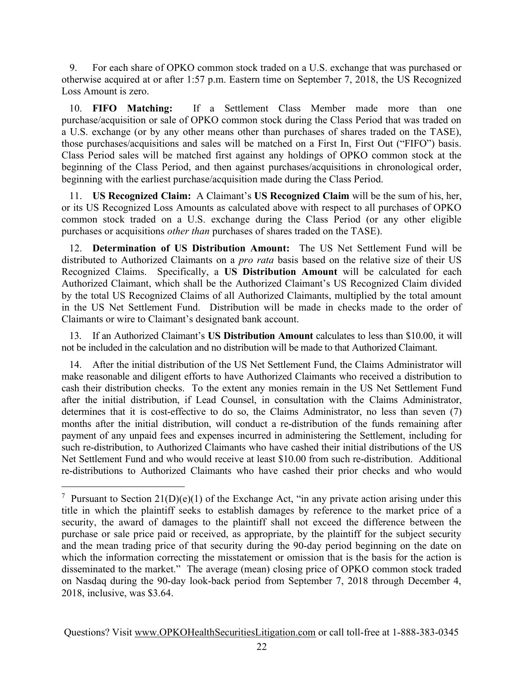9. For each share of OPKO common stock traded on a U.S. exchange that was purchased or otherwise acquired at or after 1:57 p.m. Eastern time on September 7, 2018, the US Recognized Loss Amount is zero.

10. FIFO Matching: If a Settlement Class Member made more than one purchase/acquisition or sale of OPKO common stock during the Class Period that was traded on a U.S. exchange (or by any other means other than purchases of shares traded on the TASE), those purchases/acquisitions and sales will be matched on a First In, First Out ("FIFO") basis. Class Period sales will be matched first against any holdings of OPKO common stock at the beginning of the Class Period, and then against purchases/acquisitions in chronological order, beginning with the earliest purchase/acquisition made during the Class Period.

11. US Recognized Claim: A Claimant's US Recognized Claim will be the sum of his, her, or its US Recognized Loss Amounts as calculated above with respect to all purchases of OPKO common stock traded on a U.S. exchange during the Class Period (or any other eligible purchases or acquisitions other than purchases of shares traded on the TASE).

12. Determination of US Distribution Amount: The US Net Settlement Fund will be distributed to Authorized Claimants on a *pro rata* basis based on the relative size of their US Recognized Claims. Specifically, a US Distribution Amount will be calculated for each Authorized Claimant, which shall be the Authorized Claimant's US Recognized Claim divided by the total US Recognized Claims of all Authorized Claimants, multiplied by the total amount in the US Net Settlement Fund. Distribution will be made in checks made to the order of Claimants or wire to Claimant's designated bank account.

13. If an Authorized Claimant's US Distribution Amount calculates to less than \$10.00, it will not be included in the calculation and no distribution will be made to that Authorized Claimant.

14. After the initial distribution of the US Net Settlement Fund, the Claims Administrator will make reasonable and diligent efforts to have Authorized Claimants who received a distribution to cash their distribution checks. To the extent any monies remain in the US Net Settlement Fund after the initial distribution, if Lead Counsel, in consultation with the Claims Administrator, determines that it is cost-effective to do so, the Claims Administrator, no less than seven (7) months after the initial distribution, will conduct a re-distribution of the funds remaining after payment of any unpaid fees and expenses incurred in administering the Settlement, including for such re-distribution, to Authorized Claimants who have cashed their initial distributions of the US Net Settlement Fund and who would receive at least \$10.00 from such re-distribution. Additional re-distributions to Authorized Claimants who have cashed their prior checks and who would

<sup>&</sup>lt;sup>7</sup> Pursuant to Section  $21(D)(e)(1)$  of the Exchange Act, "in any private action arising under this title in which the plaintiff seeks to establish damages by reference to the market price of a security, the award of damages to the plaintiff shall not exceed the difference between the purchase or sale price paid or received, as appropriate, by the plaintiff for the subject security and the mean trading price of that security during the 90-day period beginning on the date on which the information correcting the misstatement or omission that is the basis for the action is disseminated to the market." The average (mean) closing price of OPKO common stock traded on Nasdaq during the 90-day look-back period from September 7, 2018 through December 4, 2018, inclusive, was \$3.64.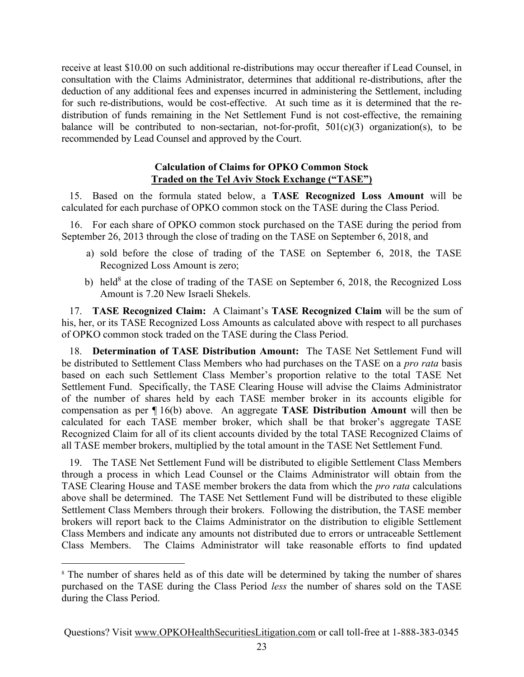receive at least \$10.00 on such additional re-distributions may occur thereafter if Lead Counsel, in consultation with the Claims Administrator, determines that additional re-distributions, after the deduction of any additional fees and expenses incurred in administering the Settlement, including for such re-distributions, would be cost-effective. At such time as it is determined that the redistribution of funds remaining in the Net Settlement Fund is not cost-effective, the remaining balance will be contributed to non-sectarian, not-for-profit,  $501(c)(3)$  organization(s), to be recommended by Lead Counsel and approved by the Court.

### Calculation of Claims for OPKO Common Stock Traded on the Tel Aviv Stock Exchange ("TASE")

15. Based on the formula stated below, a TASE Recognized Loss Amount will be calculated for each purchase of OPKO common stock on the TASE during the Class Period.

16. For each share of OPKO common stock purchased on the TASE during the period from September 26, 2013 through the close of trading on the TASE on September 6, 2018, and

- a) sold before the close of trading of the TASE on September 6, 2018, the TASE Recognized Loss Amount is zero;
- b) held<sup>8</sup> at the close of trading of the TASE on September 6, 2018, the Recognized Loss Amount is 7.20 New Israeli Shekels.

17. TASE Recognized Claim: A Claimant's TASE Recognized Claim will be the sum of his, her, or its TASE Recognized Loss Amounts as calculated above with respect to all purchases of OPKO common stock traded on the TASE during the Class Period.

18. Determination of TASE Distribution Amount: The TASE Net Settlement Fund will be distributed to Settlement Class Members who had purchases on the TASE on a *pro rata* basis based on each such Settlement Class Member's proportion relative to the total TASE Net Settlement Fund. Specifically, the TASE Clearing House will advise the Claims Administrator of the number of shares held by each TASE member broker in its accounts eligible for compensation as per ¶ 16(b) above. An aggregate TASE Distribution Amount will then be calculated for each TASE member broker, which shall be that broker's aggregate TASE Recognized Claim for all of its client accounts divided by the total TASE Recognized Claims of all TASE member brokers, multiplied by the total amount in the TASE Net Settlement Fund.

19. The TASE Net Settlement Fund will be distributed to eligible Settlement Class Members through a process in which Lead Counsel or the Claims Administrator will obtain from the TASE Clearing House and TASE member brokers the data from which the pro rata calculations above shall be determined. The TASE Net Settlement Fund will be distributed to these eligible Settlement Class Members through their brokers. Following the distribution, the TASE member brokers will report back to the Claims Administrator on the distribution to eligible Settlement Class Members and indicate any amounts not distributed due to errors or untraceable Settlement Class Members. The Claims Administrator will take reasonable efforts to find updated

<sup>&</sup>lt;sup>8</sup> The number of shares held as of this date will be determined by taking the number of shares purchased on the TASE during the Class Period less the number of shares sold on the TASE during the Class Period.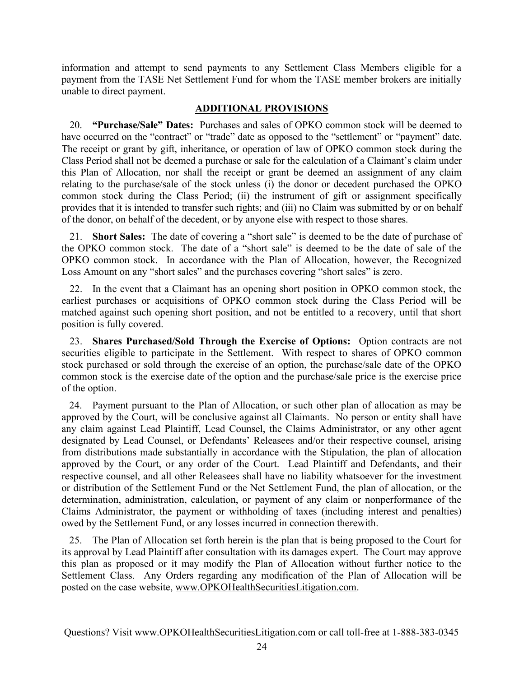information and attempt to send payments to any Settlement Class Members eligible for a payment from the TASE Net Settlement Fund for whom the TASE member brokers are initially unable to direct payment.

## ADDITIONAL PROVISIONS

20. "Purchase/Sale" Dates: Purchases and sales of OPKO common stock will be deemed to have occurred on the "contract" or "trade" date as opposed to the "settlement" or "payment" date. The receipt or grant by gift, inheritance, or operation of law of OPKO common stock during the Class Period shall not be deemed a purchase or sale for the calculation of a Claimant's claim under this Plan of Allocation, nor shall the receipt or grant be deemed an assignment of any claim relating to the purchase/sale of the stock unless (i) the donor or decedent purchased the OPKO common stock during the Class Period; (ii) the instrument of gift or assignment specifically provides that it is intended to transfer such rights; and (iii) no Claim was submitted by or on behalf of the donor, on behalf of the decedent, or by anyone else with respect to those shares.

21. Short Sales: The date of covering a "short sale" is deemed to be the date of purchase of the OPKO common stock. The date of a "short sale" is deemed to be the date of sale of the OPKO common stock. In accordance with the Plan of Allocation, however, the Recognized Loss Amount on any "short sales" and the purchases covering "short sales" is zero.

22. In the event that a Claimant has an opening short position in OPKO common stock, the earliest purchases or acquisitions of OPKO common stock during the Class Period will be matched against such opening short position, and not be entitled to a recovery, until that short position is fully covered.

23. Shares Purchased/Sold Through the Exercise of Options: Option contracts are not securities eligible to participate in the Settlement. With respect to shares of OPKO common stock purchased or sold through the exercise of an option, the purchase/sale date of the OPKO common stock is the exercise date of the option and the purchase/sale price is the exercise price of the option.

24. Payment pursuant to the Plan of Allocation, or such other plan of allocation as may be approved by the Court, will be conclusive against all Claimants. No person or entity shall have any claim against Lead Plaintiff, Lead Counsel, the Claims Administrator, or any other agent designated by Lead Counsel, or Defendants' Releasees and/or their respective counsel, arising from distributions made substantially in accordance with the Stipulation, the plan of allocation approved by the Court, or any order of the Court. Lead Plaintiff and Defendants, and their respective counsel, and all other Releasees shall have no liability whatsoever for the investment or distribution of the Settlement Fund or the Net Settlement Fund, the plan of allocation, or the determination, administration, calculation, or payment of any claim or nonperformance of the Claims Administrator, the payment or withholding of taxes (including interest and penalties) owed by the Settlement Fund, or any losses incurred in connection therewith.

25. The Plan of Allocation set forth herein is the plan that is being proposed to the Court for its approval by Lead Plaintiff after consultation with its damages expert. The Court may approve this plan as proposed or it may modify the Plan of Allocation without further notice to the Settlement Class. Any Orders regarding any modification of the Plan of Allocation will be posted on the case website, www.OPKOHealthSecuritiesLitigation.com.